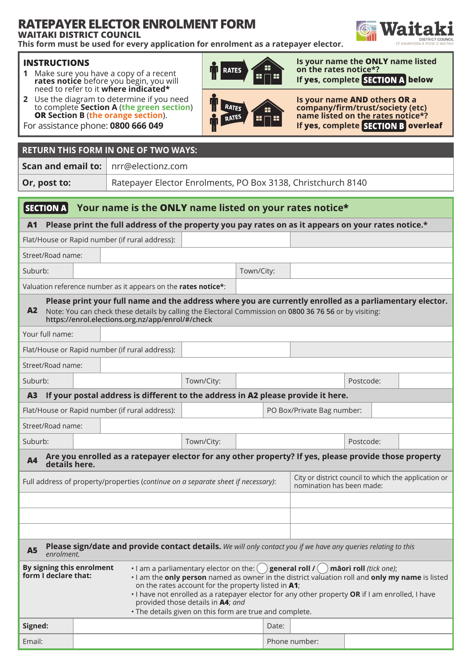# **RATEPAYER ELECTOR ENROLMENT FORM**

**WAITAKI DISTRICT COUNCIL**

**This form must be used for every application for enrolment as a ratepayer elector.**

### **INSTRUCTIONS**

- **1** Make sure you have a copy of a recent **rates notice** before you begin, you will need to refer to it **where indicated\***
- **2** Use the diagram to determine if you need to complete **Section A** (**the green section**) **OR Section B** (**the orange section**).



**RATES** 

œ

55

**Is your name the ONLY name listed on the rates notice\*? If yes, complete SECTION A below** 



For assistance phone: **0800 666 049**

# **RETURN THIS FORM IN ONE OF TWO WAYS:**

**Scan and email to:** nrr@electionz.com

**Or, post to:** Ratepayer Elector Enrolments, PO Box 3138, Christchurch 8140

#### $|$  SECTION A **Your name is the ONLY name listed on your rates notice\***

**A1 Please print the full address of the property you pay rates on as it appears on your rates notice.\***

# Flat/House or Rapid number (if rural address):

Street/Road name:

Suburb: Town/City:

Valuation reference number as it appears on the **rates notice\***:

### **A2 Please print your full name and the address where you are currently enrolled as a parliamentary elector.** Note: You can check these details by calling the Electoral Commission on **0800 36 76 56** or by visiting: **https://enrol.elections.org.nz/app/enrol/#/check**

| Your full name:                                                                                                                     |                                                                                  |                                                |                                                                                   |                            |  |  |           |           |  |
|-------------------------------------------------------------------------------------------------------------------------------------|----------------------------------------------------------------------------------|------------------------------------------------|-----------------------------------------------------------------------------------|----------------------------|--|--|-----------|-----------|--|
|                                                                                                                                     |                                                                                  | Flat/House or Rapid number (if rural address): |                                                                                   |                            |  |  |           |           |  |
| Street/Road name:                                                                                                                   |                                                                                  |                                                |                                                                                   |                            |  |  |           |           |  |
| Suburb:                                                                                                                             |                                                                                  |                                                | Town/City:                                                                        |                            |  |  | Postcode: |           |  |
| A3                                                                                                                                  | If your postal address is different to the address in A2 please provide it here. |                                                |                                                                                   |                            |  |  |           |           |  |
| Flat/House or Rapid number (if rural address):                                                                                      |                                                                                  |                                                |                                                                                   | PO Box/Private Bag number: |  |  |           |           |  |
| Street/Road name:                                                                                                                   |                                                                                  |                                                |                                                                                   |                            |  |  |           |           |  |
| Suburb:                                                                                                                             |                                                                                  |                                                | Town/City:                                                                        |                            |  |  |           | Postcode: |  |
| Are you enrolled as a ratepayer elector for any other property? If yes, please provide those property<br><b>A4</b><br>details here. |                                                                                  |                                                |                                                                                   |                            |  |  |           |           |  |
| Full address of property/properties (continue on a separate sheet if necessary):                                                    |                                                                                  |                                                | City or district council to which the application or<br>nomination has been made: |                            |  |  |           |           |  |
|                                                                                                                                     |                                                                                  |                                                |                                                                                   |                            |  |  |           |           |  |

# **A5 Please sign/date and provide contact details.** *We will only contact you if we have any queries relating to this enrolment.*

Email: Phone number:

| By signing this enrolment<br>form I declare that: | • I am a parliamentary elector on the: $($ ) general roll $I($ ) matori roll <i>(tick one)</i> ;<br>I am the only person named as owner in the district valuation roll and only my name is listed<br>on the rates account for the property listed in A1;<br>. I have not enrolled as a ratepayer elector for any other property OR if I am enrolled, I have<br>provided those details in <b>A4</b> ; and<br>. The details given on this form are true and complete. |  |  |  |
|---------------------------------------------------|---------------------------------------------------------------------------------------------------------------------------------------------------------------------------------------------------------------------------------------------------------------------------------------------------------------------------------------------------------------------------------------------------------------------------------------------------------------------|--|--|--|
| Signed:                                           | Date:                                                                                                                                                                                                                                                                                                                                                                                                                                                               |  |  |  |

|      | TA                                    |
|------|---------------------------------------|
|      | <b>DISTRICT COUNCIL</b>               |
| rtnr | <b>JNIHERA À ROHE O WAITAKI</b><br>TF |